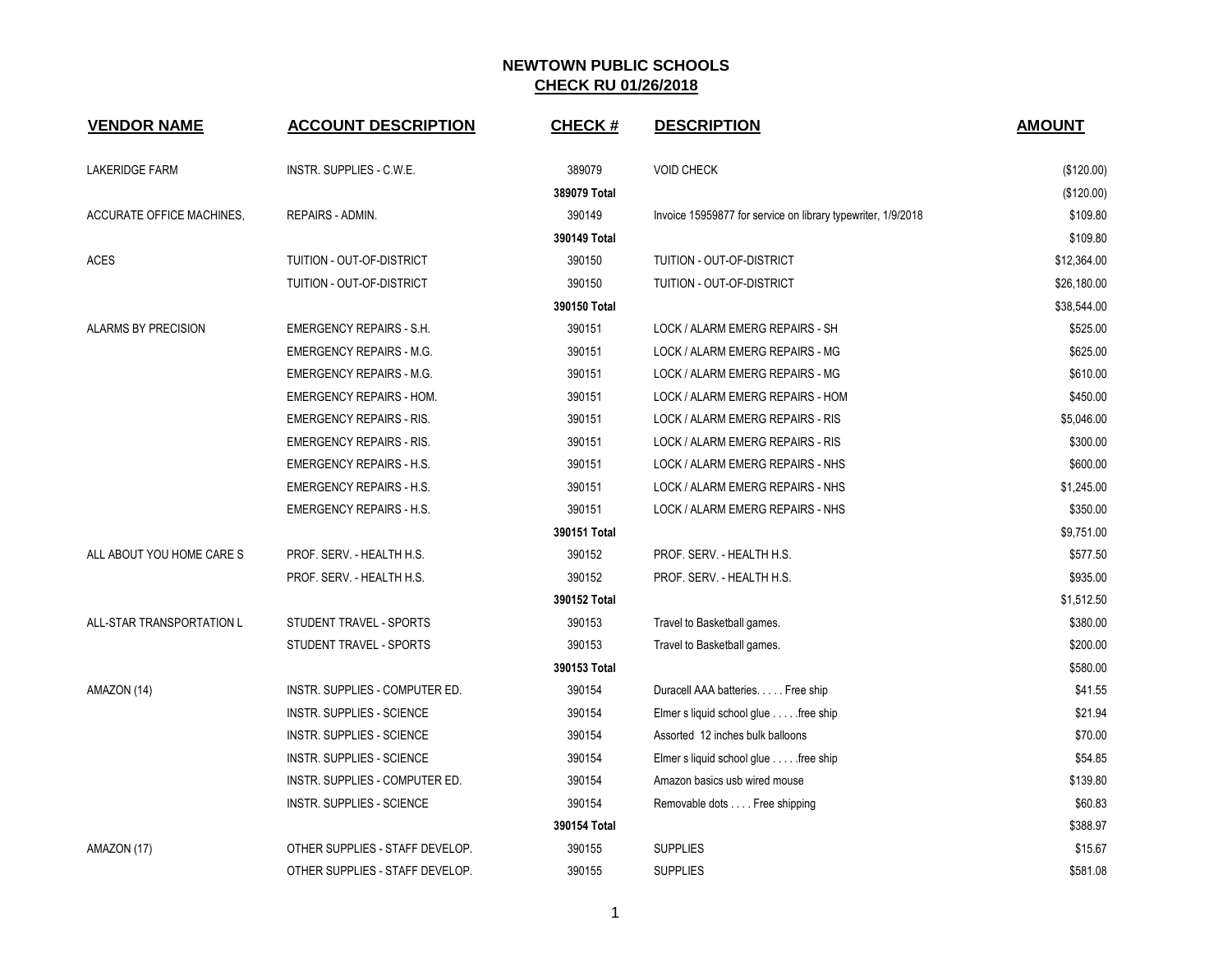| <b>VENDOR NAME</b>        | <b>ACCOUNT DESCRIPTION</b>       | <b>CHECK#</b> | <b>DESCRIPTION</b>                                           | <b>AMOUNT</b> |
|---------------------------|----------------------------------|---------------|--------------------------------------------------------------|---------------|
| LAKERIDGE FARM            | INSTR. SUPPLIES - C.W.E.         | 389079        | <b>VOID CHECK</b>                                            | (\$120.00)    |
|                           |                                  | 389079 Total  |                                                              | (\$120.00)    |
| ACCURATE OFFICE MACHINES, | REPAIRS - ADMIN.                 | 390149        | Invoice 15959877 for service on library typewriter, 1/9/2018 | \$109.80      |
|                           |                                  | 390149 Total  |                                                              | \$109.80      |
| <b>ACES</b>               | TUITION - OUT-OF-DISTRICT        | 390150        | TUITION - OUT-OF-DISTRICT                                    | \$12,364.00   |
|                           | TUITION - OUT-OF-DISTRICT        | 390150        | TUITION - OUT-OF-DISTRICT                                    | \$26.180.00   |
|                           |                                  | 390150 Total  |                                                              | \$38,544.00   |
| ALARMS BY PRECISION       | <b>EMERGENCY REPAIRS - S.H.</b>  | 390151        | LOCK / ALARM EMERG REPAIRS - SH                              | \$525.00      |
|                           | <b>EMERGENCY REPAIRS - M.G.</b>  | 390151        | LOCK / ALARM EMERG REPAIRS - MG                              | \$625.00      |
|                           | <b>EMERGENCY REPAIRS - M.G.</b>  | 390151        | LOCK / ALARM EMERG REPAIRS - MG                              | \$610.00      |
|                           | <b>EMERGENCY REPAIRS - HOM.</b>  | 390151        | LOCK / ALARM EMERG REPAIRS - HOM                             | \$450.00      |
|                           | <b>EMERGENCY REPAIRS - RIS.</b>  | 390151        | LOCK / ALARM EMERG REPAIRS - RIS                             | \$5,046.00    |
|                           | <b>EMERGENCY REPAIRS - RIS.</b>  | 390151        | LOCK / ALARM EMERG REPAIRS - RIS                             | \$300.00      |
|                           | <b>EMERGENCY REPAIRS - H.S.</b>  | 390151        | LOCK / ALARM EMERG REPAIRS - NHS                             | \$600.00      |
|                           | <b>EMERGENCY REPAIRS - H.S.</b>  | 390151        | LOCK / ALARM EMERG REPAIRS - NHS                             | \$1,245.00    |
|                           | <b>EMERGENCY REPAIRS - H.S.</b>  | 390151        | LOCK / ALARM EMERG REPAIRS - NHS                             | \$350.00      |
|                           |                                  | 390151 Total  |                                                              | \$9,751.00    |
| ALL ABOUT YOU HOME CARE S | PROF. SERV. - HEALTH H.S.        | 390152        | PROF. SERV. - HEALTH H.S.                                    | \$577.50      |
|                           | PROF. SERV. - HEALTH H.S.        | 390152        | PROF. SERV. - HEALTH H.S.                                    | \$935.00      |
|                           |                                  | 390152 Total  |                                                              | \$1,512.50    |
| ALL-STAR TRANSPORTATION L | STUDENT TRAVEL - SPORTS          | 390153        | Travel to Basketball games.                                  | \$380.00      |
|                           | STUDENT TRAVEL - SPORTS          | 390153        | Travel to Basketball games.                                  | \$200.00      |
|                           |                                  | 390153 Total  |                                                              | \$580.00      |
| AMAZON (14)               | INSTR. SUPPLIES - COMPUTER ED.   | 390154        | Duracell AAA batteries. Free ship                            | \$41.55       |
|                           | INSTR. SUPPLIES - SCIENCE        | 390154        | Elmer s liquid school glue free ship                         | \$21.94       |
|                           | INSTR. SUPPLIES - SCIENCE        | 390154        | Assorted 12 inches bulk balloons                             | \$70.00       |
|                           | <b>INSTR. SUPPLIES - SCIENCE</b> | 390154        | Elmer s liquid school glue free ship                         | \$54.85       |
|                           | INSTR. SUPPLIES - COMPUTER ED.   | 390154        | Amazon basics usb wired mouse                                | \$139.80      |
|                           | INSTR. SUPPLIES - SCIENCE        | 390154        | Removable dots Free shipping                                 | \$60.83       |
|                           |                                  | 390154 Total  |                                                              | \$388.97      |
| AMAZON (17)               | OTHER SUPPLIES - STAFF DEVELOP.  | 390155        | <b>SUPPLIES</b>                                              | \$15.67       |
|                           | OTHER SUPPLIES - STAFF DEVELOP.  | 390155        | <b>SUPPLIES</b>                                              | \$581.08      |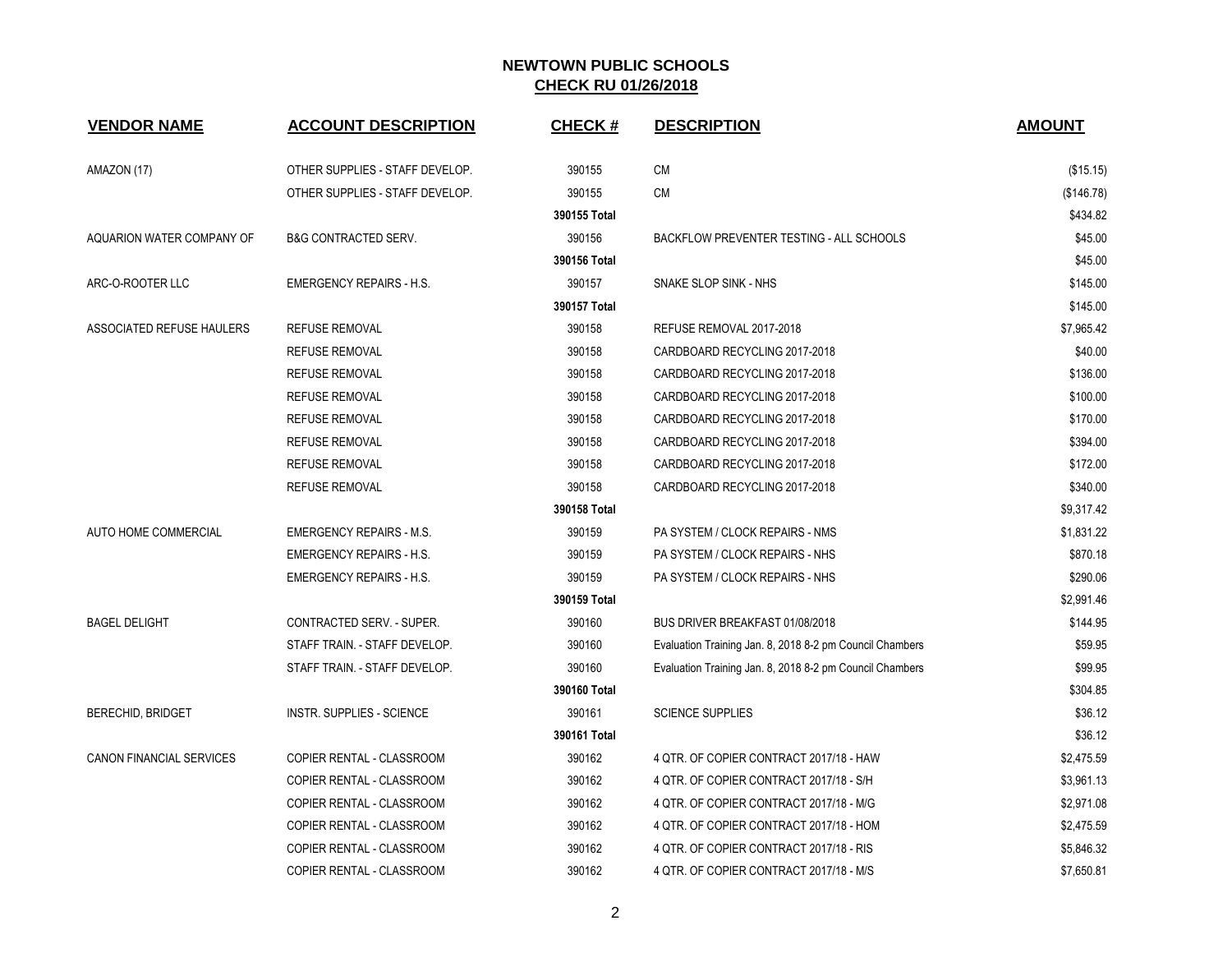| <b>VENDOR NAME</b>        | <b>ACCOUNT DESCRIPTION</b>      | <b>CHECK#</b> | <b>DESCRIPTION</b>                                       | <b>AMOUNT</b> |
|---------------------------|---------------------------------|---------------|----------------------------------------------------------|---------------|
| AMAZON (17)               | OTHER SUPPLIES - STAFF DEVELOP. | 390155        | CM                                                       | (\$15.15)     |
|                           | OTHER SUPPLIES - STAFF DEVELOP. | 390155        | ${\sf CM}$                                               | (\$146.78)    |
|                           |                                 | 390155 Total  |                                                          | \$434.82      |
| AQUARION WATER COMPANY OF | <b>B&amp;G CONTRACTED SERV.</b> | 390156        | BACKFLOW PREVENTER TESTING - ALL SCHOOLS                 | \$45.00       |
|                           |                                 | 390156 Total  |                                                          | \$45.00       |
| ARC-O-ROOTER LLC          | <b>EMERGENCY REPAIRS - H.S.</b> | 390157        | SNAKE SLOP SINK - NHS                                    | \$145.00      |
|                           |                                 | 390157 Total  |                                                          | \$145.00      |
| ASSOCIATED REFUSE HAULERS | <b>REFUSE REMOVAL</b>           | 390158        | REFUSE REMOVAL 2017-2018                                 | \$7,965.42    |
|                           | <b>REFUSE REMOVAL</b>           | 390158        | CARDBOARD RECYCLING 2017-2018                            | \$40.00       |
|                           | <b>REFUSE REMOVAL</b>           | 390158        | CARDBOARD RECYCLING 2017-2018                            | \$136.00      |
|                           | <b>REFUSE REMOVAL</b>           | 390158        | CARDBOARD RECYCLING 2017-2018                            | \$100.00      |
|                           | <b>REFUSE REMOVAL</b>           | 390158        | CARDBOARD RECYCLING 2017-2018                            | \$170.00      |
|                           | <b>REFUSE REMOVAL</b>           | 390158        | CARDBOARD RECYCLING 2017-2018                            | \$394.00      |
|                           | <b>REFUSE REMOVAL</b>           | 390158        | CARDBOARD RECYCLING 2017-2018                            | \$172.00      |
|                           | <b>REFUSE REMOVAL</b>           | 390158        | CARDBOARD RECYCLING 2017-2018                            | \$340.00      |
|                           |                                 | 390158 Total  |                                                          | \$9,317.42    |
| AUTO HOME COMMERCIAL      | <b>EMERGENCY REPAIRS - M.S.</b> | 390159        | PA SYSTEM / CLOCK REPAIRS - NMS                          | \$1,831.22    |
|                           | <b>EMERGENCY REPAIRS - H.S.</b> | 390159        | PA SYSTEM / CLOCK REPAIRS - NHS                          | \$870.18      |
|                           | <b>EMERGENCY REPAIRS - H.S.</b> | 390159        | PA SYSTEM / CLOCK REPAIRS - NHS                          | \$290.06      |
|                           |                                 | 390159 Total  |                                                          | \$2,991.46    |
| <b>BAGEL DELIGHT</b>      | CONTRACTED SERV. - SUPER.       | 390160        | BUS DRIVER BREAKFAST 01/08/2018                          | \$144.95      |
|                           | STAFF TRAIN. - STAFF DEVELOP.   | 390160        | Evaluation Training Jan. 8, 2018 8-2 pm Council Chambers | \$59.95       |
|                           | STAFF TRAIN. - STAFF DEVELOP.   | 390160        | Evaluation Training Jan. 8, 2018 8-2 pm Council Chambers | \$99.95       |
|                           |                                 | 390160 Total  |                                                          | \$304.85      |
| <b>BERECHID, BRIDGET</b>  | INSTR. SUPPLIES - SCIENCE       | 390161        | <b>SCIENCE SUPPLIES</b>                                  | \$36.12       |
|                           |                                 | 390161 Total  |                                                          | \$36.12       |
| CANON FINANCIAL SERVICES  | COPIER RENTAL - CLASSROOM       | 390162        | 4 QTR. OF COPIER CONTRACT 2017/18 - HAW                  | \$2,475.59    |
|                           | COPIER RENTAL - CLASSROOM       | 390162        | 4 QTR. OF COPIER CONTRACT 2017/18 - S/H                  | \$3,961.13    |
|                           | COPIER RENTAL - CLASSROOM       | 390162        | 4 QTR. OF COPIER CONTRACT 2017/18 - M/G                  | \$2,971.08    |
|                           | COPIER RENTAL - CLASSROOM       | 390162        | 4 QTR. OF COPIER CONTRACT 2017/18 - HOM                  | \$2,475.59    |
|                           | COPIER RENTAL - CLASSROOM       | 390162        | 4 QTR. OF COPIER CONTRACT 2017/18 - RIS                  | \$5,846.32    |
|                           | COPIER RENTAL - CLASSROOM       | 390162        | 4 QTR. OF COPIER CONTRACT 2017/18 - M/S                  | \$7,650.81    |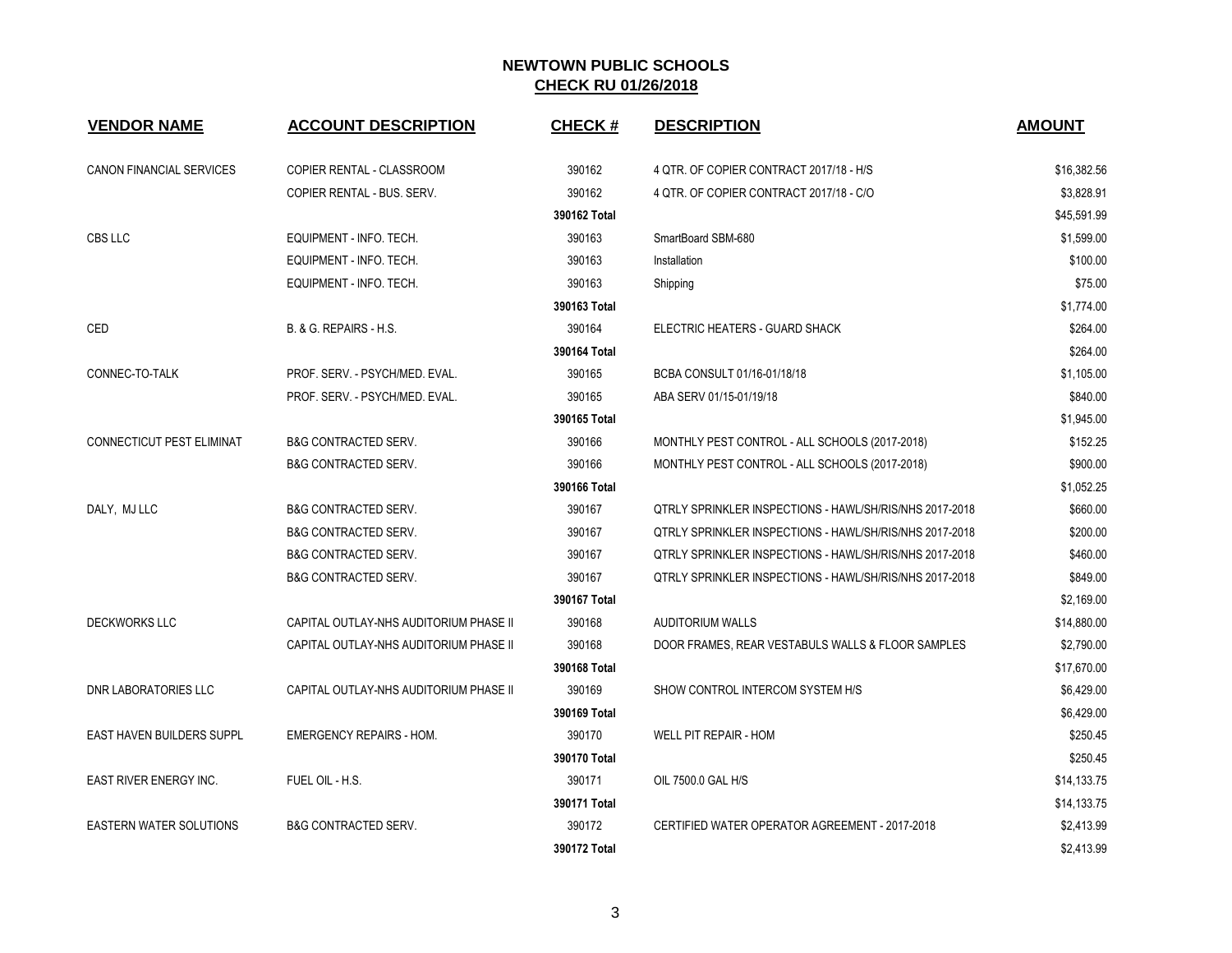| <b>VENDOR NAME</b>               | <b>ACCOUNT DESCRIPTION</b>             | <b>CHECK#</b> | <b>DESCRIPTION</b>                                      | <b>AMOUNT</b> |
|----------------------------------|----------------------------------------|---------------|---------------------------------------------------------|---------------|
| CANON FINANCIAL SERVICES         | COPIER RENTAL - CLASSROOM              | 390162        | 4 QTR. OF COPIER CONTRACT 2017/18 - H/S                 | \$16,382.56   |
|                                  | COPIER RENTAL - BUS. SERV.             | 390162        | 4 QTR. OF COPIER CONTRACT 2017/18 - C/O                 | \$3,828.91    |
|                                  |                                        | 390162 Total  |                                                         | \$45,591.99   |
| CBS LLC                          | EQUIPMENT - INFO. TECH.                | 390163        | SmartBoard SBM-680                                      | \$1,599.00    |
|                                  | EQUIPMENT - INFO. TECH.                | 390163        | Installation                                            | \$100.00      |
|                                  | EQUIPMENT - INFO. TECH.                | 390163        | Shipping                                                | \$75.00       |
|                                  |                                        | 390163 Total  |                                                         | \$1,774.00    |
| CED                              | B. & G. REPAIRS - H.S.                 | 390164        | ELECTRIC HEATERS - GUARD SHACK                          | \$264.00      |
|                                  |                                        | 390164 Total  |                                                         | \$264.00      |
| CONNEC-TO-TALK                   | PROF. SERV. - PSYCH/MED. EVAL.         | 390165        | BCBA CONSULT 01/16-01/18/18                             | \$1,105.00    |
|                                  | PROF. SERV. - PSYCH/MED. EVAL.         | 390165        | ABA SERV 01/15-01/19/18                                 | \$840.00      |
|                                  |                                        | 390165 Total  |                                                         | \$1,945.00    |
| CONNECTICUT PEST ELIMINAT        | <b>B&amp;G CONTRACTED SERV.</b>        | 390166        | MONTHLY PEST CONTROL - ALL SCHOOLS (2017-2018)          | \$152.25      |
|                                  | <b>B&amp;G CONTRACTED SERV.</b>        | 390166        | MONTHLY PEST CONTROL - ALL SCHOOLS (2017-2018)          | \$900.00      |
|                                  |                                        | 390166 Total  |                                                         | \$1,052.25    |
| DALY, MJ LLC                     | <b>B&amp;G CONTRACTED SERV.</b>        | 390167        | OTRLY SPRINKLER INSPECTIONS - HAWL/SH/RIS/NHS 2017-2018 | \$660.00      |
|                                  | <b>B&amp;G CONTRACTED SERV.</b>        | 390167        | OTRLY SPRINKLER INSPECTIONS - HAWL/SH/RIS/NHS 2017-2018 | \$200.00      |
|                                  | <b>B&amp;G CONTRACTED SERV.</b>        | 390167        | QTRLY SPRINKLER INSPECTIONS - HAWL/SH/RIS/NHS 2017-2018 | \$460.00      |
|                                  | <b>B&amp;G CONTRACTED SERV.</b>        | 390167        | QTRLY SPRINKLER INSPECTIONS - HAWL/SH/RIS/NHS 2017-2018 | \$849.00      |
|                                  |                                        | 390167 Total  |                                                         | \$2,169.00    |
| <b>DECKWORKS LLC</b>             | CAPITAL OUTLAY-NHS AUDITORIUM PHASE II | 390168        | <b>AUDITORIUM WALLS</b>                                 | \$14,880.00   |
|                                  | CAPITAL OUTLAY-NHS AUDITORIUM PHASE II | 390168        | DOOR FRAMES, REAR VESTABULS WALLS & FLOOR SAMPLES       | \$2,790.00    |
|                                  |                                        | 390168 Total  |                                                         | \$17,670.00   |
| <b>DNR LABORATORIES LLC</b>      | CAPITAL OUTLAY-NHS AUDITORIUM PHASE II | 390169        | SHOW CONTROL INTERCOM SYSTEM H/S                        | \$6,429.00    |
|                                  |                                        | 390169 Total  |                                                         | \$6,429.00    |
| <b>EAST HAVEN BUILDERS SUPPL</b> | <b>EMERGENCY REPAIRS - HOM.</b>        | 390170        | WELL PIT REPAIR - HOM                                   | \$250.45      |
|                                  |                                        | 390170 Total  |                                                         | \$250.45      |
| <b>EAST RIVER ENERGY INC.</b>    | FUEL OIL - H.S.                        | 390171        | OIL 7500.0 GAL H/S                                      | \$14,133.75   |
|                                  |                                        | 390171 Total  |                                                         | \$14,133.75   |
| <b>EASTERN WATER SOLUTIONS</b>   | <b>B&amp;G CONTRACTED SERV.</b>        | 390172        | CERTIFIED WATER OPERATOR AGREEMENT - 2017-2018          | \$2,413.99    |
|                                  |                                        | 390172 Total  |                                                         | \$2,413.99    |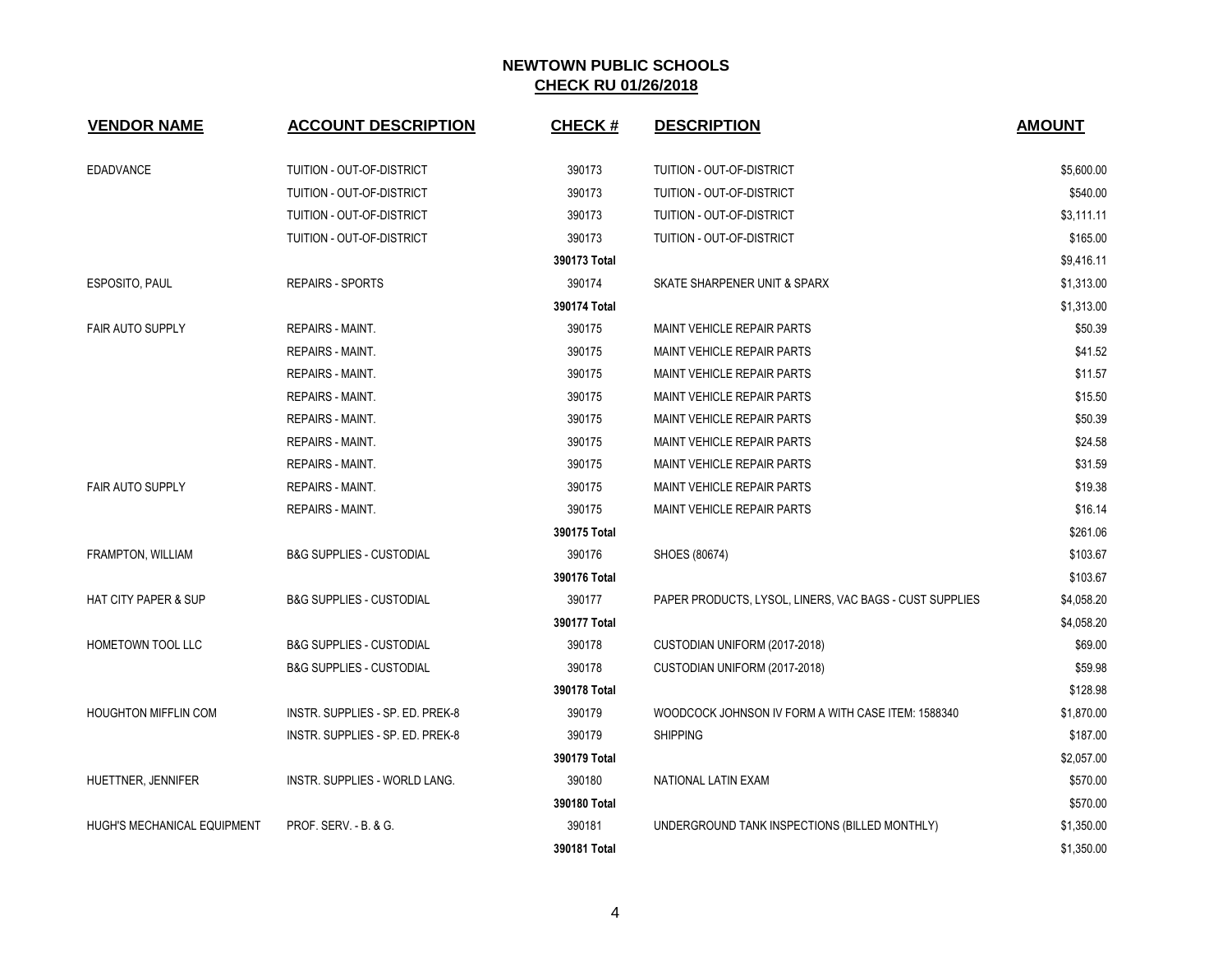| <b>VENDOR NAME</b>                 | <b>ACCOUNT DESCRIPTION</b>          | <b>CHECK#</b> | <b>DESCRIPTION</b>                                      | <b>AMOUNT</b> |
|------------------------------------|-------------------------------------|---------------|---------------------------------------------------------|---------------|
| <b>EDADVANCE</b>                   | <b>TUITION - OUT-OF-DISTRICT</b>    | 390173        | TUITION - OUT-OF-DISTRICT                               | \$5,600.00    |
|                                    | TUITION - OUT-OF-DISTRICT           | 390173        | TUITION - OUT-OF-DISTRICT                               | \$540.00      |
|                                    | TUITION - OUT-OF-DISTRICT           | 390173        | TUITION - OUT-OF-DISTRICT                               | \$3,111.11    |
|                                    | TUITION - OUT-OF-DISTRICT           | 390173        | TUITION - OUT-OF-DISTRICT                               | \$165.00      |
|                                    |                                     | 390173 Total  |                                                         | \$9,416.11    |
| ESPOSITO, PAUL                     | <b>REPAIRS - SPORTS</b>             | 390174        | SKATE SHARPENER UNIT & SPARX                            | \$1,313.00    |
|                                    |                                     | 390174 Total  |                                                         | \$1,313.00    |
| <b>FAIR AUTO SUPPLY</b>            | <b>REPAIRS - MAINT.</b>             | 390175        | <b>MAINT VEHICLE REPAIR PARTS</b>                       | \$50.39       |
|                                    | <b>REPAIRS - MAINT.</b>             | 390175        | <b>MAINT VEHICLE REPAIR PARTS</b>                       | \$41.52       |
|                                    | REPAIRS - MAINT.                    | 390175        | MAINT VEHICLE REPAIR PARTS                              | \$11.57       |
|                                    | <b>REPAIRS - MAINT.</b>             | 390175        | MAINT VEHICLE REPAIR PARTS                              | \$15.50       |
|                                    | <b>REPAIRS - MAINT.</b>             | 390175        | MAINT VEHICLE REPAIR PARTS                              | \$50.39       |
|                                    | <b>REPAIRS - MAINT.</b>             | 390175        | MAINT VEHICLE REPAIR PARTS                              | \$24.58       |
|                                    | REPAIRS - MAINT.                    | 390175        | MAINT VEHICLE REPAIR PARTS                              | \$31.59       |
| <b>FAIR AUTO SUPPLY</b>            | <b>REPAIRS - MAINT.</b>             | 390175        | <b>MAINT VEHICLE REPAIR PARTS</b>                       | \$19.38       |
|                                    | <b>REPAIRS - MAINT.</b>             | 390175        | <b>MAINT VEHICLE REPAIR PARTS</b>                       | \$16.14       |
|                                    |                                     | 390175 Total  |                                                         | \$261.06      |
| <b>FRAMPTON, WILLIAM</b>           | <b>B&amp;G SUPPLIES - CUSTODIAL</b> | 390176        | SHOES (80674)                                           | \$103.67      |
|                                    |                                     | 390176 Total  |                                                         | \$103.67      |
| <b>HAT CITY PAPER &amp; SUP</b>    | <b>B&amp;G SUPPLIES - CUSTODIAL</b> | 390177        | PAPER PRODUCTS, LYSOL, LINERS, VAC BAGS - CUST SUPPLIES | \$4,058.20    |
|                                    |                                     | 390177 Total  |                                                         | \$4,058.20    |
| HOMETOWN TOOL LLC                  | <b>B&amp;G SUPPLIES - CUSTODIAL</b> | 390178        | CUSTODIAN UNIFORM (2017-2018)                           | \$69.00       |
|                                    | <b>B&amp;G SUPPLIES - CUSTODIAL</b> | 390178        | CUSTODIAN UNIFORM (2017-2018)                           | \$59.98       |
|                                    |                                     | 390178 Total  |                                                         | \$128.98      |
| <b>HOUGHTON MIFFLIN COM</b>        | INSTR. SUPPLIES - SP. ED. PREK-8    | 390179        | WOODCOCK JOHNSON IV FORM A WITH CASE ITEM: 1588340      | \$1,870.00    |
|                                    | INSTR. SUPPLIES - SP. ED. PREK-8    | 390179        | <b>SHIPPING</b>                                         | \$187.00      |
|                                    |                                     | 390179 Total  |                                                         | \$2,057.00    |
| HUETTNER, JENNIFER                 | INSTR. SUPPLIES - WORLD LANG.       | 390180        | NATIONAL LATIN EXAM                                     | \$570.00      |
|                                    |                                     | 390180 Total  |                                                         | \$570.00      |
| <b>HUGH'S MECHANICAL EQUIPMENT</b> | PROF. SERV. - B. & G.               | 390181        | UNDERGROUND TANK INSPECTIONS (BILLED MONTHLY)           | \$1,350.00    |
|                                    |                                     | 390181 Total  |                                                         | \$1,350.00    |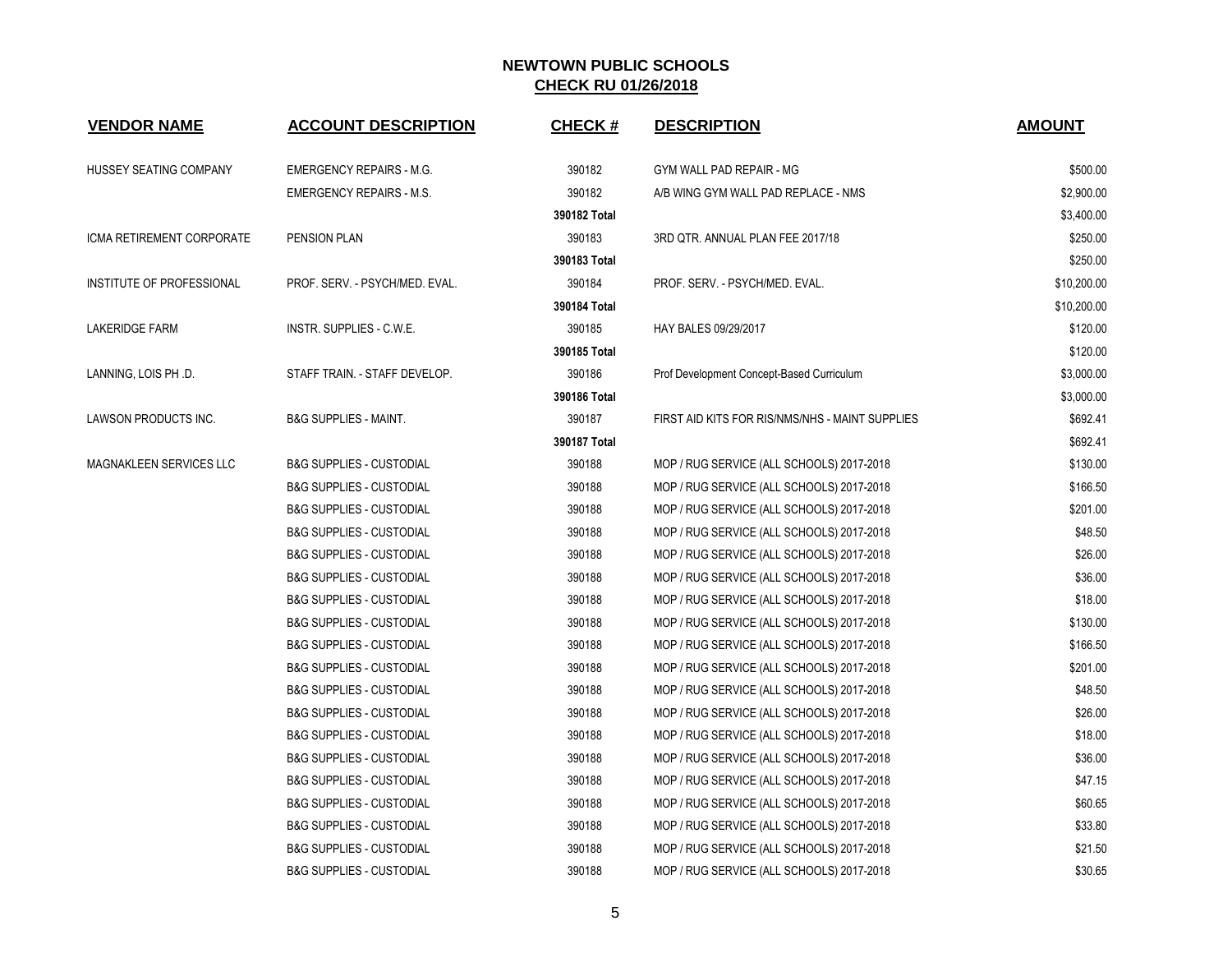| <b>VENDOR NAME</b>        | <b>ACCOUNT DESCRIPTION</b>          | <b>CHECK#</b> | <b>DESCRIPTION</b>                              | <b>AMOUNT</b> |
|---------------------------|-------------------------------------|---------------|-------------------------------------------------|---------------|
| HUSSEY SEATING COMPANY    | <b>EMERGENCY REPAIRS - M.G.</b>     | 390182        | GYM WALL PAD REPAIR - MG                        | \$500.00      |
|                           | <b>EMERGENCY REPAIRS - M.S.</b>     | 390182        | A/B WING GYM WALL PAD REPLACE - NMS             | \$2,900.00    |
|                           |                                     | 390182 Total  |                                                 | \$3,400.00    |
| ICMA RETIREMENT CORPORATE | PENSION PLAN                        | 390183        | 3RD QTR. ANNUAL PLAN FEE 2017/18                | \$250.00      |
|                           |                                     | 390183 Total  |                                                 | \$250.00      |
| INSTITUTE OF PROFESSIONAL | PROF. SERV. - PSYCH/MED. EVAL.      | 390184        | PROF. SERV. - PSYCH/MED. EVAL.                  | \$10,200.00   |
|                           |                                     | 390184 Total  |                                                 | \$10,200.00   |
| <b>LAKERIDGE FARM</b>     | INSTR. SUPPLIES - C.W.E.            | 390185        | HAY BALES 09/29/2017                            | \$120.00      |
|                           |                                     | 390185 Total  |                                                 | \$120.00      |
| LANNING, LOIS PH .D.      | STAFF TRAIN. - STAFF DEVELOP.       | 390186        | Prof Development Concept-Based Curriculum       | \$3,000.00    |
|                           |                                     | 390186 Total  |                                                 | \$3,000.00    |
| LAWSON PRODUCTS INC.      | <b>B&amp;G SUPPLIES - MAINT.</b>    | 390187        | FIRST AID KITS FOR RIS/NMS/NHS - MAINT SUPPLIES | \$692.41      |
|                           |                                     | 390187 Total  |                                                 | \$692.41      |
| MAGNAKLEEN SERVICES LLC   | <b>B&amp;G SUPPLIES - CUSTODIAL</b> | 390188        | MOP / RUG SERVICE (ALL SCHOOLS) 2017-2018       | \$130.00      |
|                           | <b>B&amp;G SUPPLIES - CUSTODIAL</b> | 390188        | MOP / RUG SERVICE (ALL SCHOOLS) 2017-2018       | \$166.50      |
|                           | <b>B&amp;G SUPPLIES - CUSTODIAL</b> | 390188        | MOP / RUG SERVICE (ALL SCHOOLS) 2017-2018       | \$201.00      |
|                           | <b>B&amp;G SUPPLIES - CUSTODIAL</b> | 390188        | MOP / RUG SERVICE (ALL SCHOOLS) 2017-2018       | \$48.50       |
|                           | <b>B&amp;G SUPPLIES - CUSTODIAL</b> | 390188        | MOP / RUG SERVICE (ALL SCHOOLS) 2017-2018       | \$26.00       |
|                           | <b>B&amp;G SUPPLIES - CUSTODIAL</b> | 390188        | MOP / RUG SERVICE (ALL SCHOOLS) 2017-2018       | \$36.00       |
|                           | <b>B&amp;G SUPPLIES - CUSTODIAL</b> | 390188        | MOP / RUG SERVICE (ALL SCHOOLS) 2017-2018       | \$18.00       |
|                           | <b>B&amp;G SUPPLIES - CUSTODIAL</b> | 390188        | MOP / RUG SERVICE (ALL SCHOOLS) 2017-2018       | \$130.00      |
|                           | <b>B&amp;G SUPPLIES - CUSTODIAL</b> | 390188        | MOP / RUG SERVICE (ALL SCHOOLS) 2017-2018       | \$166.50      |
|                           | <b>B&amp;G SUPPLIES - CUSTODIAL</b> | 390188        | MOP / RUG SERVICE (ALL SCHOOLS) 2017-2018       | \$201.00      |
|                           | <b>B&amp;G SUPPLIES - CUSTODIAL</b> | 390188        | MOP / RUG SERVICE (ALL SCHOOLS) 2017-2018       | \$48.50       |
|                           | <b>B&amp;G SUPPLIES - CUSTODIAL</b> | 390188        | MOP / RUG SERVICE (ALL SCHOOLS) 2017-2018       | \$26.00       |
|                           | <b>B&amp;G SUPPLIES - CUSTODIAL</b> | 390188        | MOP / RUG SERVICE (ALL SCHOOLS) 2017-2018       | \$18.00       |
|                           | <b>B&amp;G SUPPLIES - CUSTODIAL</b> | 390188        | MOP / RUG SERVICE (ALL SCHOOLS) 2017-2018       | \$36.00       |
|                           | <b>B&amp;G SUPPLIES - CUSTODIAL</b> | 390188        | MOP / RUG SERVICE (ALL SCHOOLS) 2017-2018       | \$47.15       |
|                           | <b>B&amp;G SUPPLIES - CUSTODIAL</b> | 390188        | MOP / RUG SERVICE (ALL SCHOOLS) 2017-2018       | \$60.65       |
|                           | <b>B&amp;G SUPPLIES - CUSTODIAL</b> | 390188        | MOP / RUG SERVICE (ALL SCHOOLS) 2017-2018       | \$33.80       |
|                           | <b>B&amp;G SUPPLIES - CUSTODIAL</b> | 390188        | MOP / RUG SERVICE (ALL SCHOOLS) 2017-2018       | \$21.50       |
|                           | <b>B&amp;G SUPPLIES - CUSTODIAL</b> | 390188        | MOP / RUG SERVICE (ALL SCHOOLS) 2017-2018       | \$30.65       |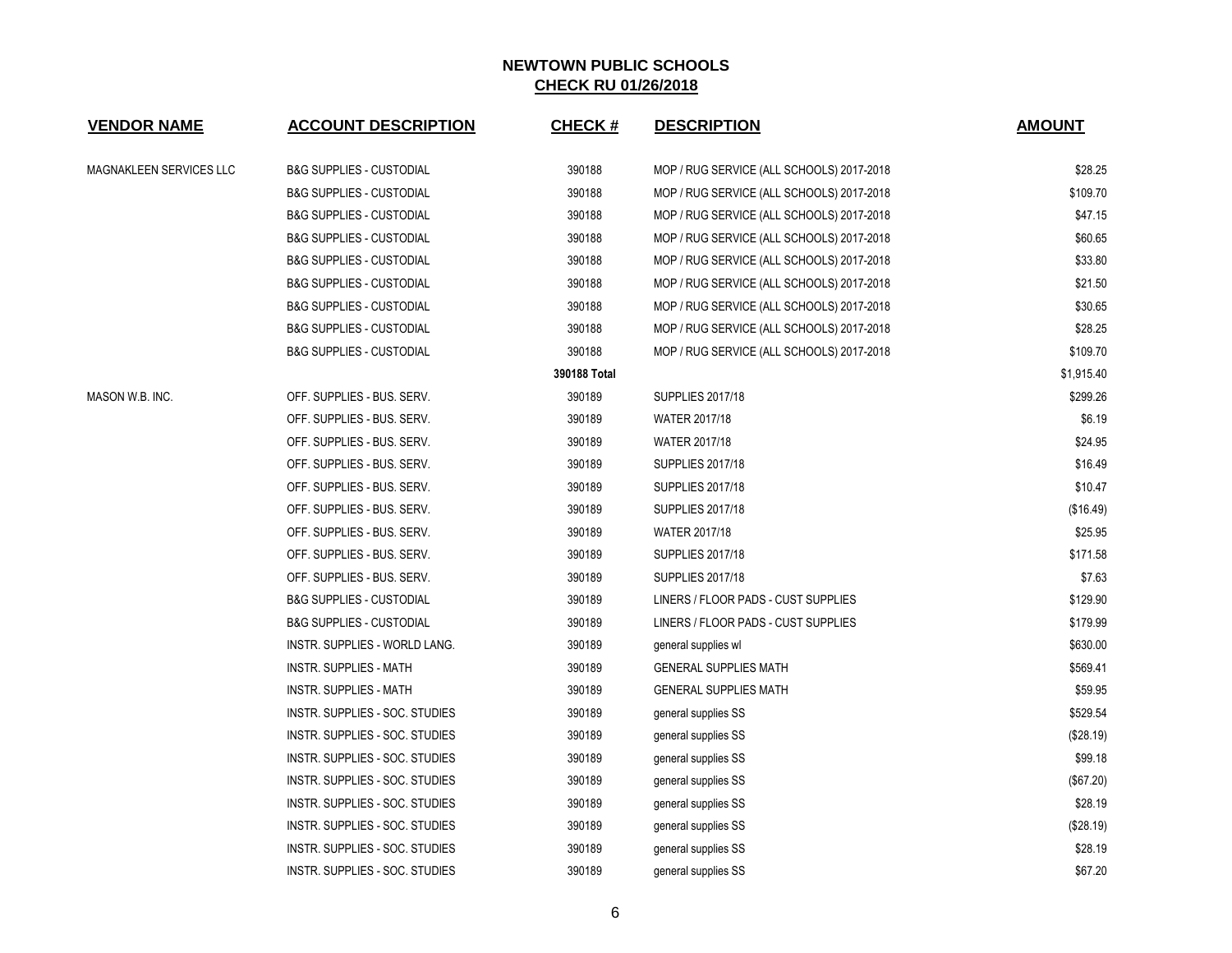| <b>VENDOR NAME</b>      | <b>ACCOUNT DESCRIPTION</b>          | <b>CHECK#</b> | <b>DESCRIPTION</b>                        | <b>AMOUNT</b> |
|-------------------------|-------------------------------------|---------------|-------------------------------------------|---------------|
| MAGNAKLEEN SERVICES LLC | <b>B&amp;G SUPPLIES - CUSTODIAL</b> | 390188        | MOP / RUG SERVICE (ALL SCHOOLS) 2017-2018 | \$28.25       |
|                         | B&G SUPPLIES - CUSTODIAL            | 390188        | MOP / RUG SERVICE (ALL SCHOOLS) 2017-2018 | \$109.70      |
|                         | <b>B&amp;G SUPPLIES - CUSTODIAL</b> | 390188        | MOP / RUG SERVICE (ALL SCHOOLS) 2017-2018 | \$47.15       |
|                         | <b>B&amp;G SUPPLIES - CUSTODIAL</b> | 390188        | MOP / RUG SERVICE (ALL SCHOOLS) 2017-2018 | \$60.65       |
|                         | <b>B&amp;G SUPPLIES - CUSTODIAL</b> | 390188        | MOP / RUG SERVICE (ALL SCHOOLS) 2017-2018 | \$33.80       |
|                         | <b>B&amp;G SUPPLIES - CUSTODIAL</b> | 390188        | MOP / RUG SERVICE (ALL SCHOOLS) 2017-2018 | \$21.50       |
|                         | <b>B&amp;G SUPPLIES - CUSTODIAL</b> | 390188        | MOP / RUG SERVICE (ALL SCHOOLS) 2017-2018 | \$30.65       |
|                         | <b>B&amp;G SUPPLIES - CUSTODIAL</b> | 390188        | MOP / RUG SERVICE (ALL SCHOOLS) 2017-2018 | \$28.25       |
|                         | <b>B&amp;G SUPPLIES - CUSTODIAL</b> | 390188        | MOP / RUG SERVICE (ALL SCHOOLS) 2017-2018 | \$109.70      |
|                         |                                     | 390188 Total  |                                           | \$1,915.40    |
| MASON W.B. INC.         | OFF. SUPPLIES - BUS. SERV.          | 390189        | <b>SUPPLIES 2017/18</b>                   | \$299.26      |
|                         | OFF. SUPPLIES - BUS. SERV.          | 390189        | <b>WATER 2017/18</b>                      | \$6.19        |
|                         | OFF. SUPPLIES - BUS. SERV.          | 390189        | WATER 2017/18                             | \$24.95       |
|                         | OFF. SUPPLIES - BUS. SERV.          | 390189        | <b>SUPPLIES 2017/18</b>                   | \$16.49       |
|                         | OFF. SUPPLIES - BUS. SERV.          | 390189        | <b>SUPPLIES 2017/18</b>                   | \$10.47       |
|                         | OFF. SUPPLIES - BUS. SERV.          | 390189        | <b>SUPPLIES 2017/18</b>                   | (\$16.49)     |
|                         | OFF. SUPPLIES - BUS. SERV.          | 390189        | WATER 2017/18                             | \$25.95       |
|                         | OFF. SUPPLIES - BUS. SERV.          | 390189        | <b>SUPPLIES 2017/18</b>                   | \$171.58      |
|                         | OFF. SUPPLIES - BUS. SERV.          | 390189        | <b>SUPPLIES 2017/18</b>                   | \$7.63        |
|                         | <b>B&amp;G SUPPLIES - CUSTODIAL</b> | 390189        | LINERS / FLOOR PADS - CUST SUPPLIES       | \$129.90      |
|                         | <b>B&amp;G SUPPLIES - CUSTODIAL</b> | 390189        | LINERS / FLOOR PADS - CUST SUPPLIES       | \$179.99      |
|                         | INSTR. SUPPLIES - WORLD LANG.       | 390189        | general supplies wl                       | \$630.00      |
|                         | INSTR. SUPPLIES - MATH              | 390189        | <b>GENERAL SUPPLIES MATH</b>              | \$569.41      |
|                         | INSTR. SUPPLIES - MATH              | 390189        | <b>GENERAL SUPPLIES MATH</b>              | \$59.95       |
|                         | INSTR. SUPPLIES - SOC. STUDIES      | 390189        | general supplies SS                       | \$529.54      |
|                         | INSTR. SUPPLIES - SOC. STUDIES      | 390189        | general supplies SS                       | (\$28.19)     |
|                         | INSTR. SUPPLIES - SOC. STUDIES      | 390189        | general supplies SS                       | \$99.18       |
|                         | INSTR. SUPPLIES - SOC. STUDIES      | 390189        | general supplies SS                       | (\$67.20)     |
|                         | INSTR. SUPPLIES - SOC. STUDIES      | 390189        | general supplies SS                       | \$28.19       |
|                         | INSTR. SUPPLIES - SOC. STUDIES      | 390189        | general supplies SS                       | (\$28.19)     |
|                         | INSTR. SUPPLIES - SOC. STUDIES      | 390189        | general supplies SS                       | \$28.19       |
|                         | INSTR. SUPPLIES - SOC. STUDIES      | 390189        | general supplies SS                       | \$67.20       |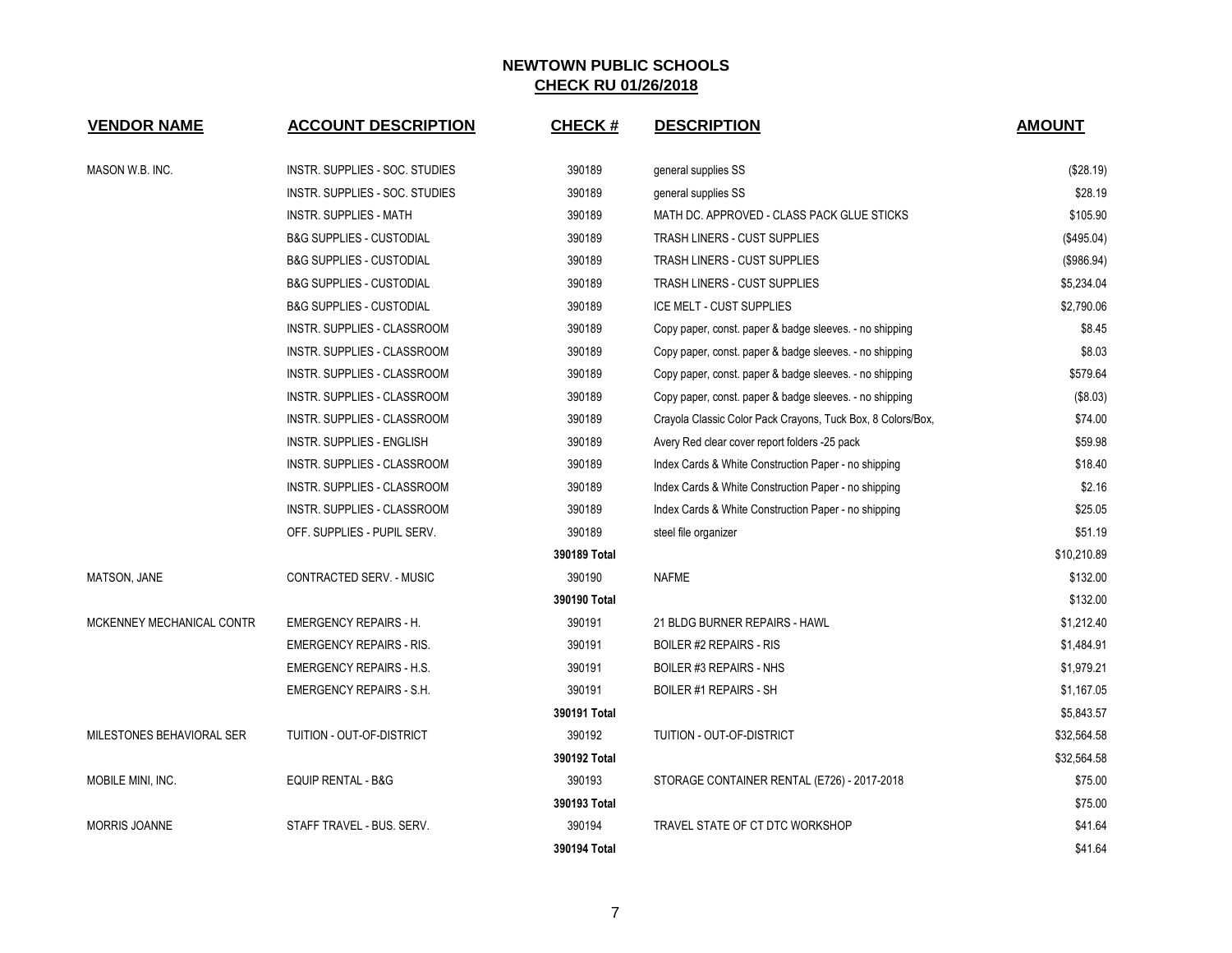| <b>VENDOR NAME</b>        | <b>ACCOUNT DESCRIPTION</b>          | <b>CHECK#</b> | <b>DESCRIPTION</b>                                          | <b>AMOUNT</b> |
|---------------------------|-------------------------------------|---------------|-------------------------------------------------------------|---------------|
| MASON W.B. INC.           | INSTR. SUPPLIES - SOC. STUDIES      | 390189        | general supplies SS                                         | (\$28.19)     |
|                           | INSTR. SUPPLIES - SOC. STUDIES      | 390189        | general supplies SS                                         | \$28.19       |
|                           | <b>INSTR. SUPPLIES - MATH</b>       | 390189        | MATH DC. APPROVED - CLASS PACK GLUE STICKS                  | \$105.90      |
|                           | B&G SUPPLIES - CUSTODIAL            | 390189        | <b>TRASH LINERS - CUST SUPPLIES</b>                         | (\$495.04)    |
|                           | <b>B&amp;G SUPPLIES - CUSTODIAL</b> | 390189        | <b>TRASH LINERS - CUST SUPPLIES</b>                         | (\$986.94)    |
|                           | <b>B&amp;G SUPPLIES - CUSTODIAL</b> | 390189        | <b>TRASH LINERS - CUST SUPPLIES</b>                         | \$5,234.04    |
|                           | B&G SUPPLIES - CUSTODIAL            | 390189        | ICE MELT - CUST SUPPLIES                                    | \$2,790.06    |
|                           | <b>INSTR. SUPPLIES - CLASSROOM</b>  | 390189        | Copy paper, const. paper & badge sleeves. - no shipping     | \$8.45        |
|                           | INSTR. SUPPLIES - CLASSROOM         | 390189        | Copy paper, const. paper & badge sleeves. - no shipping     | \$8.03        |
|                           | INSTR. SUPPLIES - CLASSROOM         | 390189        | Copy paper, const. paper & badge sleeves. - no shipping     | \$579.64      |
|                           | INSTR. SUPPLIES - CLASSROOM         | 390189        | Copy paper, const. paper & badge sleeves. - no shipping     | (\$8.03)      |
|                           | <b>INSTR. SUPPLIES - CLASSROOM</b>  | 390189        | Crayola Classic Color Pack Crayons, Tuck Box, 8 Colors/Box, | \$74.00       |
|                           | INSTR. SUPPLIES - ENGLISH           | 390189        | Avery Red clear cover report folders -25 pack               | \$59.98       |
|                           | INSTR. SUPPLIES - CLASSROOM         | 390189        | Index Cards & White Construction Paper - no shipping        | \$18.40       |
|                           | INSTR. SUPPLIES - CLASSROOM         | 390189        | Index Cards & White Construction Paper - no shipping        | \$2.16        |
|                           | INSTR. SUPPLIES - CLASSROOM         | 390189        | Index Cards & White Construction Paper - no shipping        | \$25.05       |
|                           | OFF. SUPPLIES - PUPIL SERV.         | 390189        | steel file organizer                                        | \$51.19       |
|                           |                                     | 390189 Total  |                                                             | \$10,210.89   |
| <b>MATSON, JANE</b>       | CONTRACTED SERV. - MUSIC            | 390190        | <b>NAFME</b>                                                | \$132.00      |
|                           |                                     | 390190 Total  |                                                             | \$132.00      |
| MCKENNEY MECHANICAL CONTR | <b>EMERGENCY REPAIRS - H.</b>       | 390191        | 21 BLDG BURNER REPAIRS - HAWL                               | \$1,212.40    |
|                           | <b>EMERGENCY REPAIRS - RIS.</b>     | 390191        | <b>BOILER #2 REPAIRS - RIS</b>                              | \$1,484.91    |
|                           | <b>EMERGENCY REPAIRS - H.S.</b>     | 390191        | BOILER #3 REPAIRS - NHS                                     | \$1,979.21    |
|                           | <b>EMERGENCY REPAIRS - S.H.</b>     | 390191        | <b>BOILER #1 REPAIRS - SH</b>                               | \$1,167.05    |
|                           |                                     | 390191 Total  |                                                             | \$5,843.57    |
| MILESTONES BEHAVIORAL SER | TUITION - OUT-OF-DISTRICT           | 390192        | TUITION - OUT-OF-DISTRICT                                   | \$32,564.58   |
|                           |                                     | 390192 Total  |                                                             | \$32,564.58   |
| MOBILE MINI, INC.         | <b>EQUIP RENTAL - B&amp;G</b>       | 390193        | STORAGE CONTAINER RENTAL (E726) - 2017-2018                 | \$75.00       |
|                           |                                     | 390193 Total  |                                                             | \$75.00       |
| <b>MORRIS JOANNE</b>      | STAFF TRAVEL - BUS. SERV.           | 390194        | TRAVEL STATE OF CT DTC WORKSHOP                             | \$41.64       |
|                           |                                     | 390194 Total  |                                                             | \$41.64       |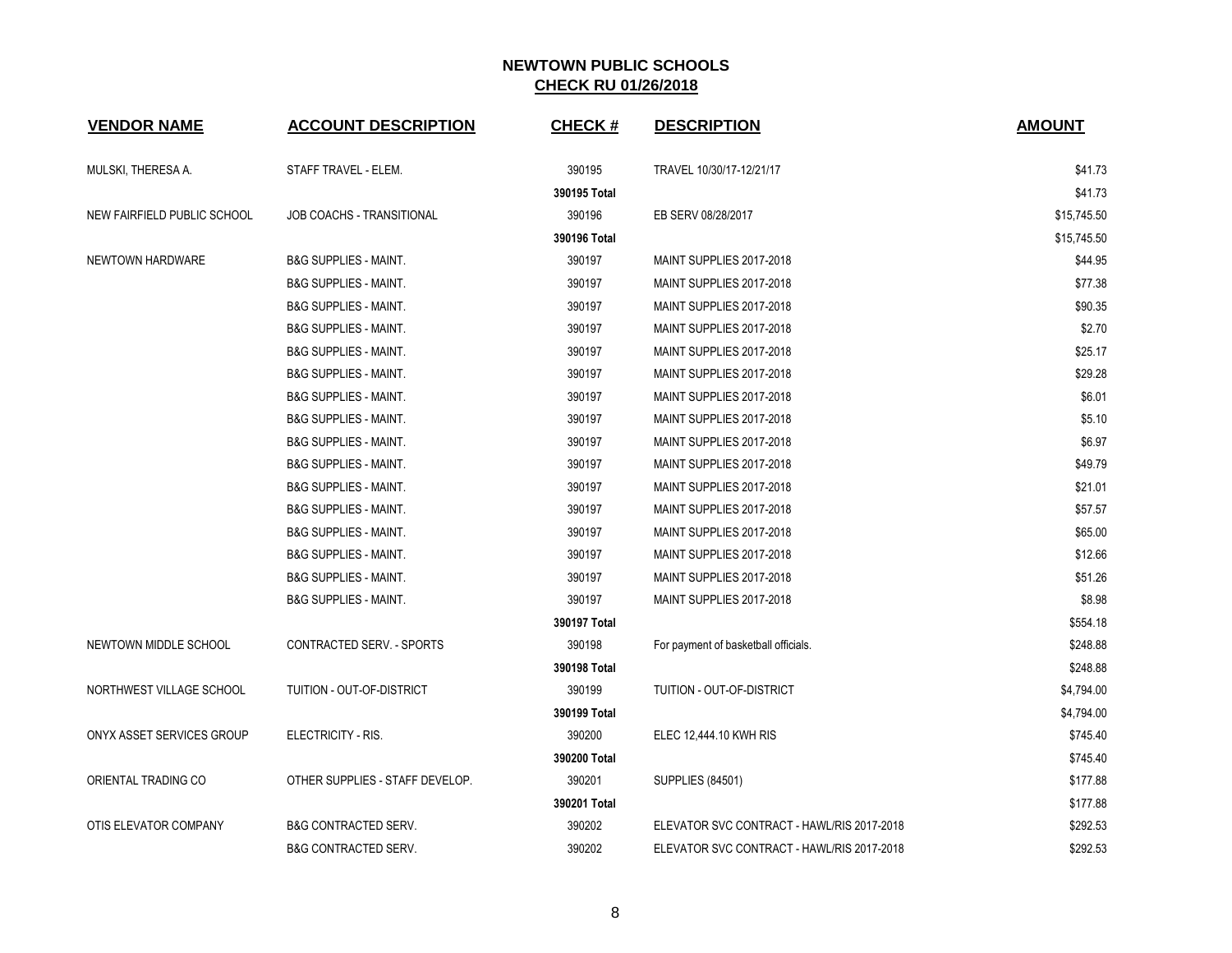| <b>VENDOR NAME</b>          | <b>ACCOUNT DESCRIPTION</b>       | <b>CHECK#</b> | <b>DESCRIPTION</b>                         | <b>AMOUNT</b> |
|-----------------------------|----------------------------------|---------------|--------------------------------------------|---------------|
| MULSKI, THERESA A.          | STAFF TRAVEL - ELEM.             | 390195        | TRAVEL 10/30/17-12/21/17                   | \$41.73       |
|                             |                                  | 390195 Total  |                                            | \$41.73       |
| NEW FAIRFIELD PUBLIC SCHOOL | <b>JOB COACHS - TRANSITIONAL</b> | 390196        | EB SERV 08/28/2017                         | \$15,745.50   |
|                             |                                  | 390196 Total  |                                            | \$15,745.50   |
| NEWTOWN HARDWARE            | <b>B&amp;G SUPPLIES - MAINT.</b> | 390197        | MAINT SUPPLIES 2017-2018                   | \$44.95       |
|                             | <b>B&amp;G SUPPLIES - MAINT.</b> | 390197        | MAINT SUPPLIES 2017-2018                   | \$77.38       |
|                             | <b>B&amp;G SUPPLIES - MAINT.</b> | 390197        | MAINT SUPPLIES 2017-2018                   | \$90.35       |
|                             | <b>B&amp;G SUPPLIES - MAINT.</b> | 390197        | MAINT SUPPLIES 2017-2018                   | \$2.70        |
|                             | <b>B&amp;G SUPPLIES - MAINT.</b> | 390197        | MAINT SUPPLIES 2017-2018                   | \$25.17       |
|                             | <b>B&amp;G SUPPLIES - MAINT.</b> | 390197        | MAINT SUPPLIES 2017-2018                   | \$29.28       |
|                             | <b>B&amp;G SUPPLIES - MAINT.</b> | 390197        | MAINT SUPPLIES 2017-2018                   | \$6.01        |
|                             | <b>B&amp;G SUPPLIES - MAINT.</b> | 390197        | MAINT SUPPLIES 2017-2018                   | \$5.10        |
|                             | <b>B&amp;G SUPPLIES - MAINT.</b> | 390197        | MAINT SUPPLIES 2017-2018                   | \$6.97        |
|                             | <b>B&amp;G SUPPLIES - MAINT.</b> | 390197        | MAINT SUPPLIES 2017-2018                   | \$49.79       |
|                             | <b>B&amp;G SUPPLIES - MAINT.</b> | 390197        | MAINT SUPPLIES 2017-2018                   | \$21.01       |
|                             | <b>B&amp;G SUPPLIES - MAINT.</b> | 390197        | MAINT SUPPLIES 2017-2018                   | \$57.57       |
|                             | <b>B&amp;G SUPPLIES - MAINT.</b> | 390197        | MAINT SUPPLIES 2017-2018                   | \$65.00       |
|                             | <b>B&amp;G SUPPLIES - MAINT.</b> | 390197        | MAINT SUPPLIES 2017-2018                   | \$12.66       |
|                             | <b>B&amp;G SUPPLIES - MAINT.</b> | 390197        | MAINT SUPPLIES 2017-2018                   | \$51.26       |
|                             | <b>B&amp;G SUPPLIES - MAINT.</b> | 390197        | MAINT SUPPLIES 2017-2018                   | \$8.98        |
|                             |                                  | 390197 Total  |                                            | \$554.18      |
| NEWTOWN MIDDLE SCHOOL       | CONTRACTED SERV. - SPORTS        | 390198        | For payment of basketball officials.       | \$248.88      |
|                             |                                  | 390198 Total  |                                            | \$248.88      |
| NORTHWEST VILLAGE SCHOOL    | TUITION - OUT-OF-DISTRICT        | 390199        | TUITION - OUT-OF-DISTRICT                  | \$4,794.00    |
|                             |                                  | 390199 Total  |                                            | \$4,794.00    |
| ONYX ASSET SERVICES GROUP   | ELECTRICITY - RIS.               | 390200        | ELEC 12,444.10 KWH RIS                     | \$745.40      |
|                             |                                  | 390200 Total  |                                            | \$745.40      |
| ORIENTAL TRADING CO         | OTHER SUPPLIES - STAFF DEVELOP.  | 390201        | <b>SUPPLIES (84501)</b>                    | \$177.88      |
|                             |                                  | 390201 Total  |                                            | \$177.88      |
| OTIS ELEVATOR COMPANY       | <b>B&amp;G CONTRACTED SERV.</b>  | 390202        | ELEVATOR SVC CONTRACT - HAWL/RIS 2017-2018 | \$292.53      |
|                             | <b>B&amp;G CONTRACTED SERV.</b>  | 390202        | ELEVATOR SVC CONTRACT - HAWL/RIS 2017-2018 | \$292.53      |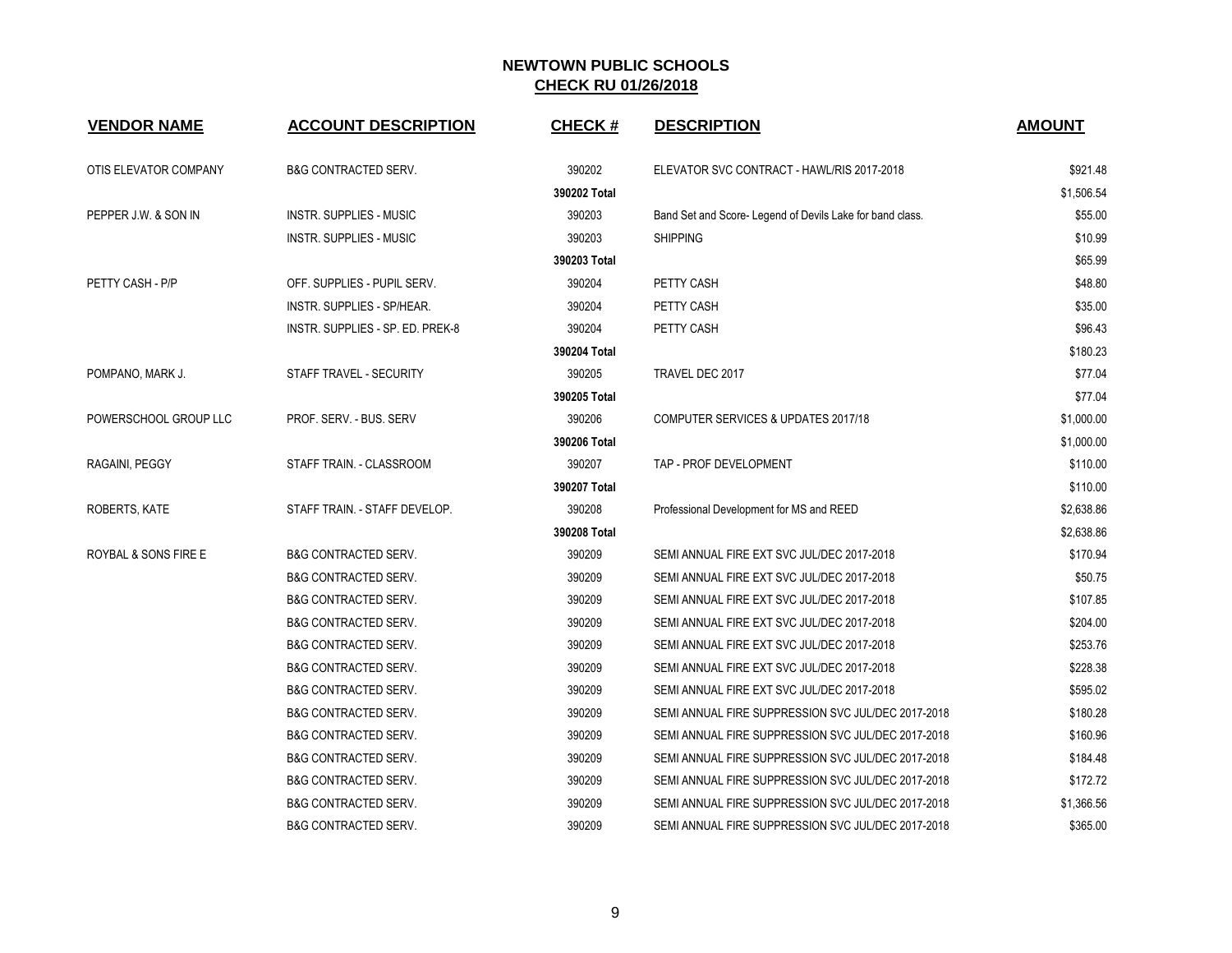| <b>VENDOR NAME</b>              | <b>ACCOUNT DESCRIPTION</b>       | <b>CHECK#</b> | <b>DESCRIPTION</b>                                       | <b>AMOUNT</b> |
|---------------------------------|----------------------------------|---------------|----------------------------------------------------------|---------------|
| OTIS ELEVATOR COMPANY           | <b>B&amp;G CONTRACTED SERV.</b>  | 390202        | ELEVATOR SVC CONTRACT - HAWL/RIS 2017-2018               | \$921.48      |
|                                 |                                  | 390202 Total  |                                                          | \$1,506.54    |
| PEPPER J.W. & SON IN            | <b>INSTR. SUPPLIES - MUSIC</b>   | 390203        | Band Set and Score-Legend of Devils Lake for band class. | \$55.00       |
|                                 | INSTR. SUPPLIES - MUSIC          | 390203        | <b>SHIPPING</b>                                          | \$10.99       |
|                                 |                                  | 390203 Total  |                                                          | \$65.99       |
| PETTY CASH - P/P                | OFF. SUPPLIES - PUPIL SERV.      | 390204        | PETTY CASH                                               | \$48.80       |
|                                 | INSTR. SUPPLIES - SP/HEAR.       | 390204        | PETTY CASH                                               | \$35.00       |
|                                 | INSTR. SUPPLIES - SP. ED. PREK-8 | 390204        | PETTY CASH                                               | \$96.43       |
|                                 |                                  | 390204 Total  |                                                          | \$180.23      |
| POMPANO, MARK J.                | STAFF TRAVEL - SECURITY          | 390205        | TRAVEL DEC 2017                                          | \$77.04       |
|                                 |                                  | 390205 Total  |                                                          | \$77.04       |
| POWERSCHOOL GROUP LLC           | PROF. SERV. - BUS. SERV          | 390206        | COMPUTER SERVICES & UPDATES 2017/18                      | \$1,000.00    |
|                                 |                                  | 390206 Total  |                                                          | \$1,000.00    |
| RAGAINI, PEGGY                  | STAFF TRAIN. - CLASSROOM         | 390207        | TAP - PROF DEVELOPMENT                                   | \$110.00      |
|                                 |                                  | 390207 Total  |                                                          | \$110.00      |
| ROBERTS, KATE                   | STAFF TRAIN. - STAFF DEVELOP.    | 390208        | Professional Development for MS and REED                 | \$2,638.86    |
|                                 |                                  | 390208 Total  |                                                          | \$2,638.86    |
| <b>ROYBAL &amp; SONS FIRE E</b> | <b>B&amp;G CONTRACTED SERV.</b>  | 390209        | SEMI ANNUAL FIRE EXT SVC JUL/DEC 2017-2018               | \$170.94      |
|                                 | <b>B&amp;G CONTRACTED SERV.</b>  | 390209        | SEMI ANNUAL FIRE EXT SVC JUL/DEC 2017-2018               | \$50.75       |
|                                 | <b>B&amp;G CONTRACTED SERV.</b>  | 390209        | SEMI ANNUAL FIRE EXT SVC JUL/DEC 2017-2018               | \$107.85      |
|                                 | <b>B&amp;G CONTRACTED SERV.</b>  | 390209        | SEMI ANNUAL FIRE EXT SVC JUL/DEC 2017-2018               | \$204.00      |
|                                 | <b>B&amp;G CONTRACTED SERV.</b>  | 390209        | SEMI ANNUAL FIRE EXT SVC JUL/DEC 2017-2018               | \$253.76      |
|                                 | <b>B&amp;G CONTRACTED SERV.</b>  | 390209        | SEMI ANNUAL FIRE EXT SVC JUL/DEC 2017-2018               | \$228.38      |
|                                 | <b>B&amp;G CONTRACTED SERV.</b>  | 390209        | SEMI ANNUAL FIRE EXT SVC JUL/DEC 2017-2018               | \$595.02      |
|                                 | <b>B&amp;G CONTRACTED SERV.</b>  | 390209        | SEMI ANNUAL FIRE SUPPRESSION SVC JUL/DEC 2017-2018       | \$180.28      |
|                                 | <b>B&amp;G CONTRACTED SERV.</b>  | 390209        | SEMI ANNUAL FIRE SUPPRESSION SVC JUL/DEC 2017-2018       | \$160.96      |
|                                 | <b>B&amp;G CONTRACTED SERV.</b>  | 390209        | SEMI ANNUAL FIRE SUPPRESSION SVC JUL/DEC 2017-2018       | \$184.48      |
|                                 | <b>B&amp;G CONTRACTED SERV.</b>  | 390209        | SEMI ANNUAL FIRE SUPPRESSION SVC JUL/DEC 2017-2018       | \$172.72      |
|                                 | <b>B&amp;G CONTRACTED SERV.</b>  | 390209        | SEMI ANNUAL FIRE SUPPRESSION SVC JUL/DEC 2017-2018       | \$1,366.56    |
|                                 | <b>B&amp;G CONTRACTED SERV.</b>  | 390209        | SEMI ANNUAL FIRE SUPPRESSION SVC JUL/DEC 2017-2018       | \$365.00      |